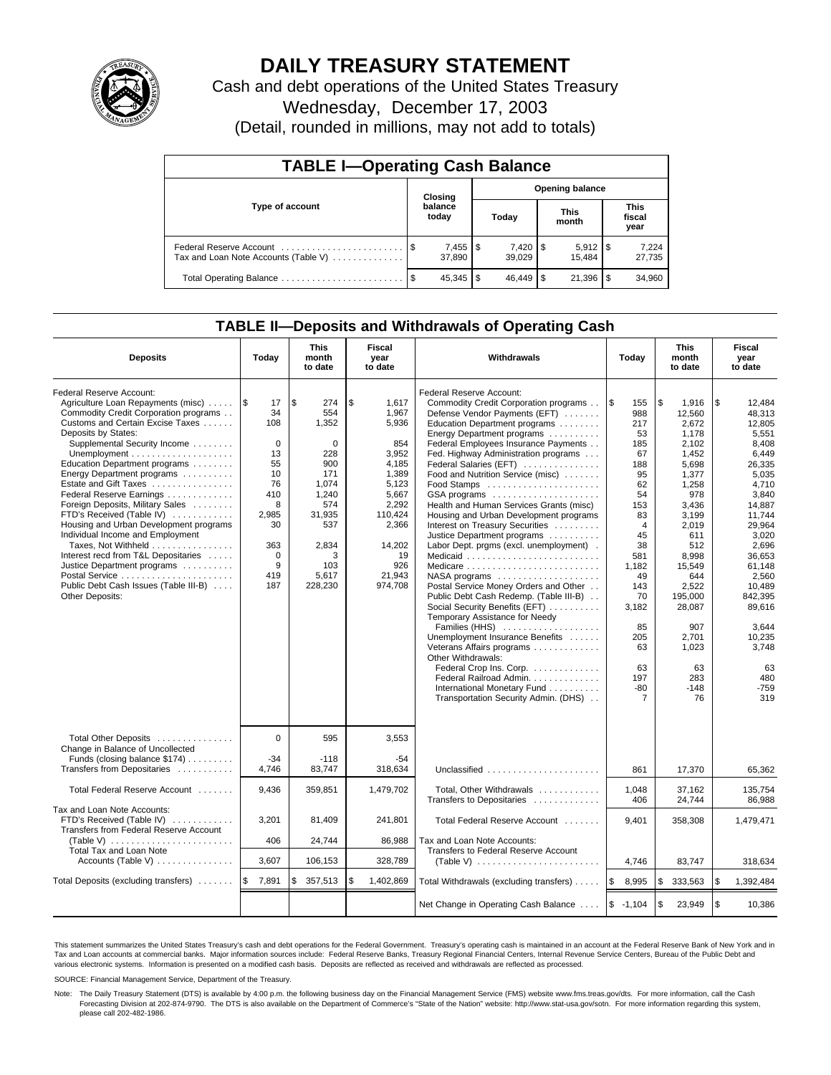

## **DAILY TREASURY STATEMENT**

Cash and debt operations of the United States Treasury Wednesday, December 17, 2003

(Detail, rounded in millions, may not add to totals)

| <b>TABLE I-Operating Cash Balance</b> |                  |                              |       |                        |                      |        |                               |                 |  |  |
|---------------------------------------|------------------|------------------------------|-------|------------------------|----------------------|--------|-------------------------------|-----------------|--|--|
|                                       |                  | Closing                      |       | <b>Opening balance</b> |                      |        |                               |                 |  |  |
| Type of account                       | balance<br>today |                              | Today |                        | <b>This</b><br>month |        | <b>This</b><br>fiscal<br>year |                 |  |  |
| Tax and Loan Note Accounts (Table V)  |                  | $7,455$ $\sqrt{3}$<br>37.890 |       | $7,420$ \ \$<br>39.029 |                      | 15.484 |                               | 7,224<br>27,735 |  |  |
|                                       |                  | 45,345                       | l \$  |                        |                      | 21,396 |                               | 34,960          |  |  |

### **TABLE II—Deposits and Withdrawals of Operating Cash**

| <b>Deposits</b>                                                                                                                                                                                                                                                                                                                                                                                                                                                                                                                                                                                                                      | Today                                                                                                                      | <b>This</b><br>month<br>to date                                                                                                        | Fiscal<br>Withdrawals<br>year<br>to date                                                                                                                   |                                                                                                                                                                                                                                                                                                                                                                                                                                                                                                                                                                                                                                                                                                                                                                                                                                                                                                                                                                                                                               | Today                                                                                                                                                                                                     |                                                                                                                                                                                                                                                     | <b>This</b><br>month<br>to date                                                                                                                                                                                                                                        | Fiscal<br>year<br>to date |
|--------------------------------------------------------------------------------------------------------------------------------------------------------------------------------------------------------------------------------------------------------------------------------------------------------------------------------------------------------------------------------------------------------------------------------------------------------------------------------------------------------------------------------------------------------------------------------------------------------------------------------------|----------------------------------------------------------------------------------------------------------------------------|----------------------------------------------------------------------------------------------------------------------------------------|------------------------------------------------------------------------------------------------------------------------------------------------------------|-------------------------------------------------------------------------------------------------------------------------------------------------------------------------------------------------------------------------------------------------------------------------------------------------------------------------------------------------------------------------------------------------------------------------------------------------------------------------------------------------------------------------------------------------------------------------------------------------------------------------------------------------------------------------------------------------------------------------------------------------------------------------------------------------------------------------------------------------------------------------------------------------------------------------------------------------------------------------------------------------------------------------------|-----------------------------------------------------------------------------------------------------------------------------------------------------------------------------------------------------------|-----------------------------------------------------------------------------------------------------------------------------------------------------------------------------------------------------------------------------------------------------|------------------------------------------------------------------------------------------------------------------------------------------------------------------------------------------------------------------------------------------------------------------------|---------------------------|
| Federal Reserve Account:<br>Agriculture Loan Repayments (misc)    \$<br>Commodity Credit Corporation programs<br>Customs and Certain Excise Taxes<br>Deposits by States:<br>Supplemental Security Income<br>Education Department programs<br>Energy Department programs<br>Estate and Gift Taxes<br>Federal Reserve Earnings<br>Foreign Deposits, Military Sales<br>FTD's Received (Table IV)<br>Housing and Urban Development programs<br>Individual Income and Employment<br>Taxes, Not Withheld<br>Interest recd from T&L Depositaries<br>Justice Department programs<br>Public Debt Cash Issues (Table III-B)<br>Other Deposits: | 17<br>34<br>108<br>$\mathbf 0$<br>13<br>55<br>10<br>76<br>410<br>8<br>2,985<br>30<br>363<br>$\mathbf 0$<br>9<br>419<br>187 | \$<br>274<br>554<br>1,352<br>0<br>228<br>900<br>171<br>1.074<br>1,240<br>574<br>31,935<br>537<br>2,834<br>3<br>103<br>5,617<br>228,230 | \$<br>1,617<br>1,967<br>5,936<br>854<br>3,952<br>4,185<br>1,389<br>5.123<br>5,667<br>2,292<br>110,424<br>2,366<br>14,202<br>19<br>926<br>21,943<br>974,708 | Federal Reserve Account:<br>Commodity Credit Corporation programs<br>Defense Vendor Payments (EFT)<br>Education Department programs<br>Energy Department programs<br>Federal Employees Insurance Payments<br>Fed. Highway Administration programs<br>Federal Salaries (EFT)<br>Food and Nutrition Service (misc)<br>Food Stamps<br>GSA programs<br>Health and Human Services Grants (misc)<br>Housing and Urban Development programs<br>Interest on Treasury Securities<br>Justice Department programs<br>Labor Dept. prgms (excl. unemployment).<br>Medicaid<br>Medicare<br>$NASA$ programs $\ldots \ldots \ldots \ldots \ldots$<br>Postal Service Money Orders and Other<br>Public Debt Cash Redemp. (Table III-B)<br>Social Security Benefits (EFT)<br>Temporary Assistance for Needy<br>Families (HHS)<br>Unemployment Insurance Benefits<br>Veterans Affairs programs<br>Other Withdrawals:<br>Federal Crop Ins. Corp.<br>Federal Railroad Admin.<br>International Monetary Fund<br>Transportation Security Admin. (DHS) | ۱\$<br>155<br>988<br>217<br>53<br>185<br>67<br>188<br>95<br>62<br>54<br>153<br>83<br>$\overline{4}$<br>45<br>38<br>581<br>1,182<br>49<br>143<br>70<br>3,182<br>85<br>205<br>63<br>63<br>197<br>$-80$<br>7 | l\$<br>1,916<br>12,560<br>2.672<br>1,178<br>2,102<br>1,452<br>5,698<br>1,377<br>1.258<br>978<br>3,436<br>3,199<br>2,019<br>611<br>512<br>8.998<br>15.549<br>644<br>2.522<br>195,000<br>28,087<br>907<br>2,701<br>1,023<br>63<br>283<br>$-148$<br>76 | \$<br>12,484<br>48.313<br>12.805<br>5,551<br>8.408<br>6,449<br>26,335<br>5,035<br>4.710<br>3.840<br>14.887<br>11.744<br>29.964<br>3,020<br>2,696<br>36.653<br>61.148<br>2,560<br>10.489<br>842,395<br>89,616<br>3.644<br>10,235<br>3,748<br>63<br>480<br>$-759$<br>319 |                           |
| Total Other Deposits<br>Change in Balance of Uncollected<br>Funds (closing balance \$174)<br>Transfers from Depositaries                                                                                                                                                                                                                                                                                                                                                                                                                                                                                                             | $\Omega$<br>$-34$<br>4.746                                                                                                 | 595<br>$-118$<br>83,747                                                                                                                | 3,553<br>$-54$<br>318.634                                                                                                                                  | Unclassified                                                                                                                                                                                                                                                                                                                                                                                                                                                                                                                                                                                                                                                                                                                                                                                                                                                                                                                                                                                                                  | 861                                                                                                                                                                                                       | 17,370                                                                                                                                                                                                                                              | 65.362                                                                                                                                                                                                                                                                 |                           |
| Total Federal Reserve Account                                                                                                                                                                                                                                                                                                                                                                                                                                                                                                                                                                                                        | 9,436                                                                                                                      | 359,851                                                                                                                                | 1,479,702                                                                                                                                                  | Total, Other Withdrawals<br>Transfers to Depositaries                                                                                                                                                                                                                                                                                                                                                                                                                                                                                                                                                                                                                                                                                                                                                                                                                                                                                                                                                                         | 1,048<br>406                                                                                                                                                                                              | 37,162<br>24,744                                                                                                                                                                                                                                    | 135,754<br>86.988                                                                                                                                                                                                                                                      |                           |
| Tax and Loan Note Accounts:<br>FTD's Received (Table IV)<br>Transfers from Federal Reserve Account<br>(Table V) $\ldots \ldots \ldots \ldots \ldots \ldots \ldots$<br><b>Total Tax and Loan Note</b>                                                                                                                                                                                                                                                                                                                                                                                                                                 | 3,201<br>406                                                                                                               | 81,409<br>24,744                                                                                                                       | 241,801<br>86,988                                                                                                                                          | Total Federal Reserve Account<br>Tax and Loan Note Accounts:<br>Transfers to Federal Reserve Account                                                                                                                                                                                                                                                                                                                                                                                                                                                                                                                                                                                                                                                                                                                                                                                                                                                                                                                          | 9,401                                                                                                                                                                                                     | 358,308                                                                                                                                                                                                                                             | 1,479,471                                                                                                                                                                                                                                                              |                           |
| Accounts (Table V)                                                                                                                                                                                                                                                                                                                                                                                                                                                                                                                                                                                                                   | 3,607                                                                                                                      | 106,153                                                                                                                                | 328,789                                                                                                                                                    | (Table V) $\ldots \ldots \ldots \ldots \ldots \ldots \ldots$                                                                                                                                                                                                                                                                                                                                                                                                                                                                                                                                                                                                                                                                                                                                                                                                                                                                                                                                                                  | 4,746                                                                                                                                                                                                     | 83,747                                                                                                                                                                                                                                              | 318,634                                                                                                                                                                                                                                                                |                           |
| Total Deposits (excluding transfers)                                                                                                                                                                                                                                                                                                                                                                                                                                                                                                                                                                                                 | l \$<br>7,891                                                                                                              | \$<br>357,513                                                                                                                          | \$<br>1,402,869                                                                                                                                            | Total Withdrawals (excluding transfers)                                                                                                                                                                                                                                                                                                                                                                                                                                                                                                                                                                                                                                                                                                                                                                                                                                                                                                                                                                                       | ۱\$<br>8,995                                                                                                                                                                                              | <b>S</b><br>333,563                                                                                                                                                                                                                                 | \$<br>1,392,484                                                                                                                                                                                                                                                        |                           |
|                                                                                                                                                                                                                                                                                                                                                                                                                                                                                                                                                                                                                                      |                                                                                                                            |                                                                                                                                        |                                                                                                                                                            | Net Change in Operating Cash Balance                                                                                                                                                                                                                                                                                                                                                                                                                                                                                                                                                                                                                                                                                                                                                                                                                                                                                                                                                                                          | $$ -1,104$                                                                                                                                                                                                | $\sqrt{3}$<br>23,949                                                                                                                                                                                                                                | \$<br>10,386                                                                                                                                                                                                                                                           |                           |

This statement summarizes the United States Treasury's cash and debt operations for the Federal Government. Treasury's operating cash is maintained in an account at the Federal Reserve Bank of New York and in Tax and Loan accounts at commercial banks. Major information sources include: Federal Reserve Banks, Treasury Regional Financial Centers, Internal Revenue Service Centers, Bureau of the Public Debt and<br>various electronic s

SOURCE: Financial Management Service, Department of the Treasury.

Note: The Daily Treasury Statement (DTS) is available by 4:00 p.m. the following business day on the Financial Management Service (FMS) website www.fms.treas.gov/dts. For more information, call the Cash Forecasting Division at 202-874-9790. The DTS is also available on the Department of Commerce's "State of the Nation" website: http://www.stat-usa.gov/sotn. For more information regarding this system, please call 202-482-1986.